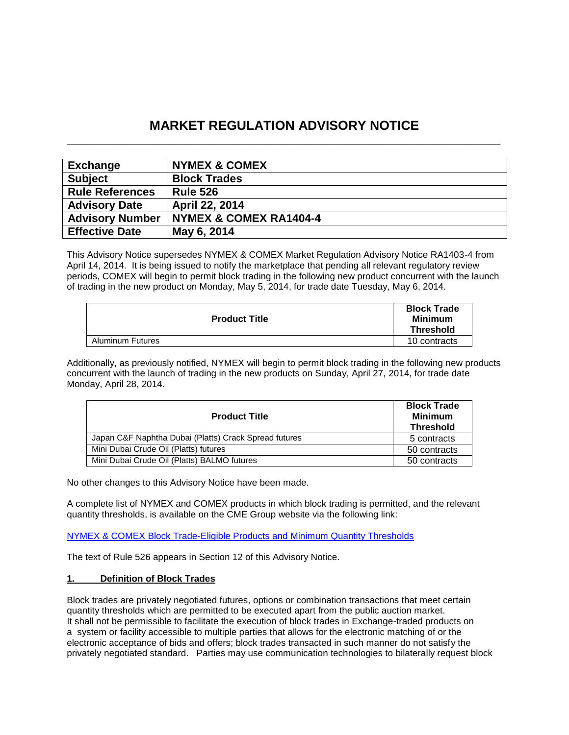# **MARKET REGULATION ADVISORY NOTICE \_\_\_\_\_\_\_\_\_\_\_\_\_\_\_\_\_\_\_\_\_\_\_\_\_\_\_\_\_\_\_\_\_\_\_\_\_\_\_\_\_\_\_\_\_\_\_\_\_\_\_\_\_\_\_\_\_\_\_\_\_\_\_\_\_\_\_\_\_\_**

| <b>Exchange</b>        | <b>NYMEX &amp; COMEX</b>          |
|------------------------|-----------------------------------|
| <b>Subject</b>         | <b>Block Trades</b>               |
| <b>Rule References</b> | <b>Rule 526</b>                   |
| <b>Advisory Date</b>   | <b>April 22, 2014</b>             |
| <b>Advisory Number</b> | <b>NYMEX &amp; COMEX RA1404-4</b> |
| <b>Effective Date</b>  | May 6, 2014                       |

This Advisory Notice supersedes NYMEX & COMEX Market Regulation Advisory Notice RA1403-4 from April 14, 2014. It is being issued to notify the marketplace that pending all relevant regulatory review periods, COMEX will begin to permit block trading in the following new product concurrent with the launch of trading in the new product on Monday, May 5, 2014, for trade date Tuesday, May 6, 2014.

| <b>Product Title</b>    | <b>Block Trade</b><br><b>Minimum</b><br><b>Threshold</b> |
|-------------------------|----------------------------------------------------------|
| <b>Aluminum Futures</b> | 10 contracts                                             |

Additionally, as previously notified, NYMEX will begin to permit block trading in the following new products concurrent with the launch of trading in the new products on Sunday, April 27, 2014, for trade date Monday, April 28, 2014.

| <b>Product Title</b>                                  | <b>Block Trade</b><br><b>Minimum</b><br><b>Threshold</b> |
|-------------------------------------------------------|----------------------------------------------------------|
| Japan C&F Naphtha Dubai (Platts) Crack Spread futures | 5 contracts                                              |
| Mini Dubai Crude Oil (Platts) futures                 | 50 contracts                                             |
| Mini Dubai Crude Oil (Platts) BALMO futures           | 50 contracts                                             |

No other changes to this Advisory Notice have been made.

A complete list of NYMEX and COMEX products in which block trading is permitted, and the relevant quantity thresholds, is available on the CME Group website via the following link:

[NYMEX & COMEX Block Trade-Eligible Products and Minimum Quantity Thresholds](http://www.cmegroup.com/clearing/trading-practices/NYMEX-COMEXblock-trade.html)

The text of Rule 526 appears in Section 12 of this Advisory Notice.

# **1. Definition of Block Trades**

Block trades are privately negotiated futures, options or combination transactions that meet certain quantity thresholds which are permitted to be executed apart from the public auction market. It shall not be permissible to facilitate the execution of block trades in Exchange-traded products on a system or facility accessible to multiple parties that allows for the electronic matching of or the electronic acceptance of bids and offers; block trades transacted in such manner do not satisfy the privately negotiated standard. Parties may use communication technologies to bilaterally request block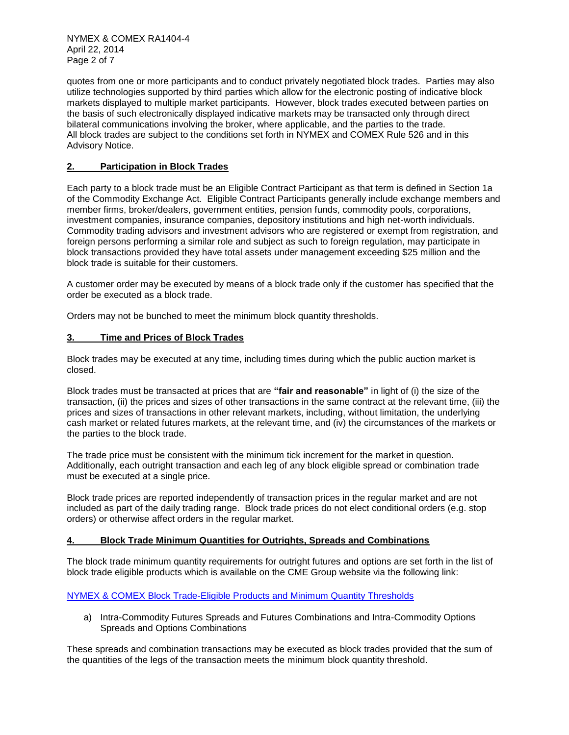NYMEX & COMEX RA1404-4 April 22, 2014 Page 2 of 7

quotes from one or more participants and to conduct privately negotiated block trades. Parties may also utilize technologies supported by third parties which allow for the electronic posting of indicative block markets displayed to multiple market participants. However, block trades executed between parties on the basis of such electronically displayed indicative markets may be transacted only through direct bilateral communications involving the broker, where applicable, and the parties to the trade. All block trades are subject to the conditions set forth in NYMEX and COMEX Rule 526 and in this Advisory Notice.

# **2. Participation in Block Trades**

Each party to a block trade must be an Eligible Contract Participant as that term is defined in Section 1a of the Commodity Exchange Act. Eligible Contract Participants generally include exchange members and member firms, broker/dealers, government entities, pension funds, commodity pools, corporations, investment companies, insurance companies, depository institutions and high net-worth individuals. Commodity trading advisors and investment advisors who are registered or exempt from registration, and foreign persons performing a similar role and subject as such to foreign regulation, may participate in block transactions provided they have total assets under management exceeding \$25 million and the block trade is suitable for their customers.

A customer order may be executed by means of a block trade only if the customer has specified that the order be executed as a block trade.

Orders may not be bunched to meet the minimum block quantity thresholds.

## **3. Time and Prices of Block Trades**

Block trades may be executed at any time, including times during which the public auction market is closed.

Block trades must be transacted at prices that are **"fair and reasonable"** in light of (i) the size of the transaction, (ii) the prices and sizes of other transactions in the same contract at the relevant time, (iii) the prices and sizes of transactions in other relevant markets, including, without limitation, the underlying cash market or related futures markets, at the relevant time, and (iv) the circumstances of the markets or the parties to the block trade.

The trade price must be consistent with the minimum tick increment for the market in question. Additionally, each outright transaction and each leg of any block eligible spread or combination trade must be executed at a single price.

Block trade prices are reported independently of transaction prices in the regular market and are not included as part of the daily trading range. Block trade prices do not elect conditional orders (e.g. stop orders) or otherwise affect orders in the regular market.

# **4. Block Trade Minimum Quantities for Outrights, Spreads and Combinations**

The block trade minimum quantity requirements for outright futures and options are set forth in the list of block trade eligible products which is available on the CME Group website via the following link:

# [NYMEX & COMEX Block Trade-Eligible Products and Minimum Quantity Thresholds](http://www.cmegroup.com/clearing/trading-practices/NYMEX-COMEXblock-trade.html)

a) Intra-Commodity Futures Spreads and Futures Combinations and Intra-Commodity Options Spreads and Options Combinations

These spreads and combination transactions may be executed as block trades provided that the sum of the quantities of the legs of the transaction meets the minimum block quantity threshold.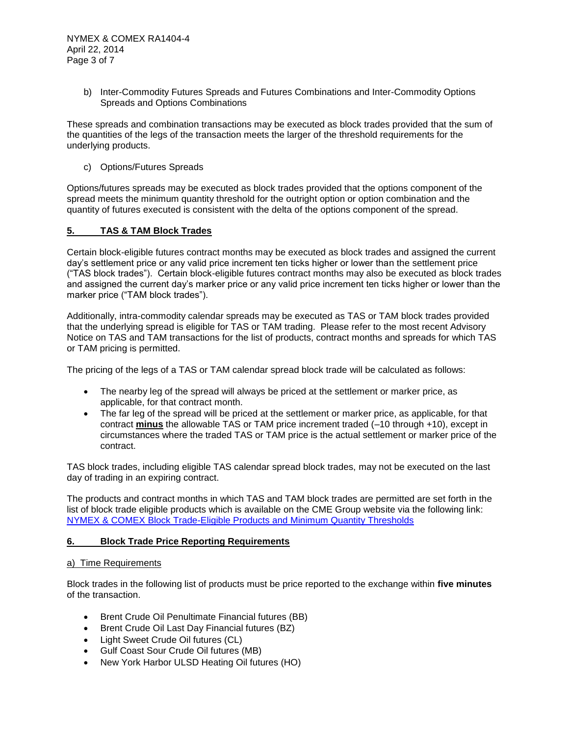b) Inter-Commodity Futures Spreads and Futures Combinations and Inter-Commodity Options Spreads and Options Combinations

These spreads and combination transactions may be executed as block trades provided that the sum of the quantities of the legs of the transaction meets the larger of the threshold requirements for the underlying products.

c) Options/Futures Spreads

Options/futures spreads may be executed as block trades provided that the options component of the spread meets the minimum quantity threshold for the outright option or option combination and the quantity of futures executed is consistent with the delta of the options component of the spread.

## **5. TAS & TAM Block Trades**

Certain block-eligible futures contract months may be executed as block trades and assigned the current day's settlement price or any valid price increment ten ticks higher or lower than the settlement price ("TAS block trades"). Certain block-eligible futures contract months may also be executed as block trades and assigned the current day's marker price or any valid price increment ten ticks higher or lower than the marker price ("TAM block trades").

Additionally, intra-commodity calendar spreads may be executed as TAS or TAM block trades provided that the underlying spread is eligible for TAS or TAM trading. Please refer to the most recent Advisory Notice on TAS and TAM transactions for the list of products, contract months and spreads for which TAS or TAM pricing is permitted.

The pricing of the legs of a TAS or TAM calendar spread block trade will be calculated as follows:

- The nearby leg of the spread will always be priced at the settlement or marker price, as applicable, for that contract month.
- The far leg of the spread will be priced at the settlement or marker price, as applicable, for that contract **minus** the allowable TAS or TAM price increment traded (–10 through +10), except in circumstances where the traded TAS or TAM price is the actual settlement or marker price of the contract.

TAS block trades, including eligible TAS calendar spread block trades, may not be executed on the last day of trading in an expiring contract.

The products and contract months in which TAS and TAM block trades are permitted are set forth in the list of block trade eligible products which is available on the CME Group website via the following link: [NYMEX & COMEX Block Trade-Eligible Products and Minimum Quantity Thresholds](http://www.cmegroup.com/clearing/trading-practices/NYMEX-COMEXblock-trade.html)

## **6. Block Trade Price Reporting Requirements**

## a) Time Requirements

Block trades in the following list of products must be price reported to the exchange within **five minutes** of the transaction.

- Brent Crude Oil Penultimate Financial futures (BB)
- Brent Crude Oil Last Day Financial futures (BZ)
- Light Sweet Crude Oil futures (CL)
- Gulf Coast Sour Crude Oil futures (MB)
- New York Harbor ULSD Heating Oil futures (HO)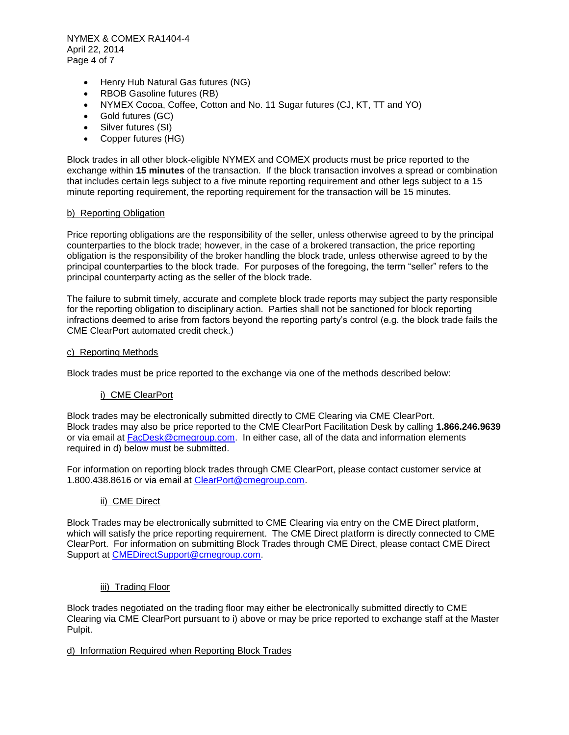NYMEX & COMEX RA1404-4 April 22, 2014 Page 4 of 7

- Henry Hub Natural Gas futures (NG)
- RBOB Gasoline futures (RB)
- NYMEX Cocoa, Coffee, Cotton and No. 11 Sugar futures (CJ, KT, TT and YO)
- Gold futures (GC)
- Silver futures (SI)
- Copper futures (HG)

Block trades in all other block-eligible NYMEX and COMEX products must be price reported to the exchange within **15 minutes** of the transaction. If the block transaction involves a spread or combination that includes certain legs subject to a five minute reporting requirement and other legs subject to a 15 minute reporting requirement, the reporting requirement for the transaction will be 15 minutes.

#### b) Reporting Obligation

Price reporting obligations are the responsibility of the seller, unless otherwise agreed to by the principal counterparties to the block trade; however, in the case of a brokered transaction, the price reporting obligation is the responsibility of the broker handling the block trade, unless otherwise agreed to by the principal counterparties to the block trade. For purposes of the foregoing, the term "seller" refers to the principal counterparty acting as the seller of the block trade.

The failure to submit timely, accurate and complete block trade reports may subject the party responsible for the reporting obligation to disciplinary action. Parties shall not be sanctioned for block reporting infractions deemed to arise from factors beyond the reporting party's control (e.g. the block trade fails the CME ClearPort automated credit check.)

#### c) Reporting Methods

Block trades must be price reported to the exchange via one of the methods described below:

## i) CME ClearPort

Block trades may be electronically submitted directly to CME Clearing via CME ClearPort. Block trades may also be price reported to the CME ClearPort Facilitation Desk by calling **1.866.246.9639** or via email at [FacDesk@cmegroup.com.](mailto:FacDesk@cmegroup.com) In either case, all of the data and information elements required in d) below must be submitted.

For information on reporting block trades through CME ClearPort, please contact customer service at 1.800.438.8616 or via email at [ClearPort@cmegroup.com.](mailto:ClearPort@cmegroup.com)

## ii) CME Direct

Block Trades may be electronically submitted to CME Clearing via entry on the CME Direct platform, which will satisfy the price reporting requirement. The CME Direct platform is directly connected to CME ClearPort. For information on submitting Block Trades through CME Direct, please contact CME Direct Support at [CMEDirectSupport@cmegroup.com.](mailto:CMEDirectSupport@cmegroup.com)

## iii) Trading Floor

Block trades negotiated on the trading floor may either be electronically submitted directly to CME Clearing via CME ClearPort pursuant to i) above or may be price reported to exchange staff at the Master Pulpit.

## d) Information Required when Reporting Block Trades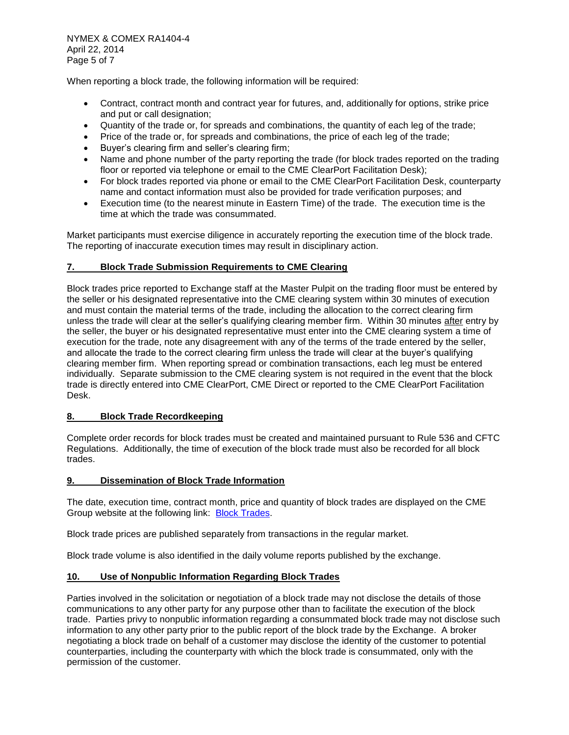When reporting a block trade, the following information will be required:

- Contract, contract month and contract year for futures, and, additionally for options, strike price and put or call designation;
- Quantity of the trade or, for spreads and combinations, the quantity of each leg of the trade;
- Price of the trade or, for spreads and combinations, the price of each leg of the trade;
- Buyer's clearing firm and seller's clearing firm;
- Name and phone number of the party reporting the trade (for block trades reported on the trading floor or reported via telephone or email to the CME ClearPort Facilitation Desk);
- For block trades reported via phone or email to the CME ClearPort Facilitation Desk, counterparty name and contact information must also be provided for trade verification purposes; and
- Execution time (to the nearest minute in Eastern Time) of the trade. The execution time is the time at which the trade was consummated.

Market participants must exercise diligence in accurately reporting the execution time of the block trade. The reporting of inaccurate execution times may result in disciplinary action.

## **7. Block Trade Submission Requirements to CME Clearing**

Block trades price reported to Exchange staff at the Master Pulpit on the trading floor must be entered by the seller or his designated representative into the CME clearing system within 30 minutes of execution and must contain the material terms of the trade, including the allocation to the correct clearing firm unless the trade will clear at the seller's qualifying clearing member firm. Within 30 minutes after entry by the seller, the buyer or his designated representative must enter into the CME clearing system a time of execution for the trade, note any disagreement with any of the terms of the trade entered by the seller, and allocate the trade to the correct clearing firm unless the trade will clear at the buyer's qualifying clearing member firm. When reporting spread or combination transactions, each leg must be entered individually. Separate submission to the CME clearing system is not required in the event that the block trade is directly entered into CME ClearPort, CME Direct or reported to the CME ClearPort Facilitation Desk.

## **8. Block Trade Recordkeeping**

Complete order records for block trades must be created and maintained pursuant to Rule 536 and CFTC Regulations. Additionally, the time of execution of the block trade must also be recorded for all block trades.

## **9. Dissemination of Block Trade Information**

The date, execution time, contract month, price and quantity of block trades are displayed on the CME Group website at the following link: [Block Trades.](http://www.cmegroup.com/tools-information/blocktrades.html)

Block trade prices are published separately from transactions in the regular market.

Block trade volume is also identified in the daily volume reports published by the exchange.

## **10. Use of Nonpublic Information Regarding Block Trades**

Parties involved in the solicitation or negotiation of a block trade may not disclose the details of those communications to any other party for any purpose other than to facilitate the execution of the block trade. Parties privy to nonpublic information regarding a consummated block trade may not disclose such information to any other party prior to the public report of the block trade by the Exchange. A broker negotiating a block trade on behalf of a customer may disclose the identity of the customer to potential counterparties, including the counterparty with which the block trade is consummated, only with the permission of the customer.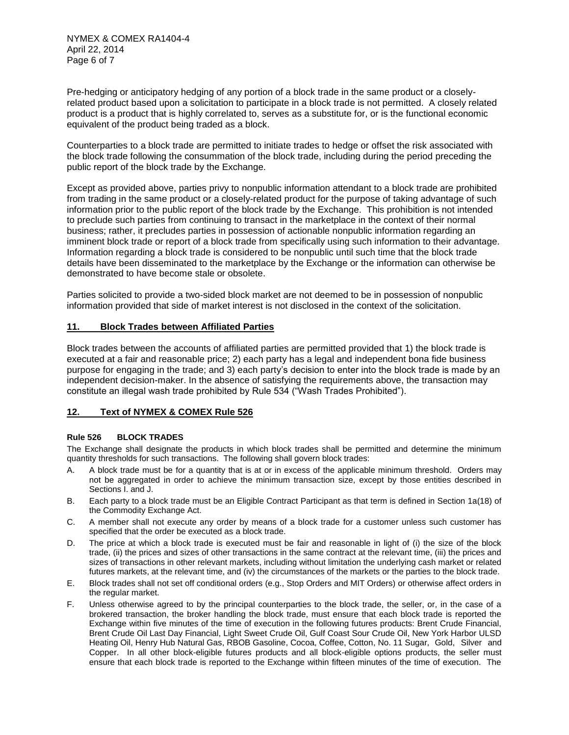NYMEX & COMEX RA1404-4 April 22, 2014 Page 6 of 7

Pre-hedging or anticipatory hedging of any portion of a block trade in the same product or a closelyrelated product based upon a solicitation to participate in a block trade is not permitted. A closely related product is a product that is highly correlated to, serves as a substitute for, or is the functional economic equivalent of the product being traded as a block.

Counterparties to a block trade are permitted to initiate trades to hedge or offset the risk associated with the block trade following the consummation of the block trade, including during the period preceding the public report of the block trade by the Exchange.

Except as provided above, parties privy to nonpublic information attendant to a block trade are prohibited from trading in the same product or a closely-related product for the purpose of taking advantage of such information prior to the public report of the block trade by the Exchange. This prohibition is not intended to preclude such parties from continuing to transact in the marketplace in the context of their normal business; rather, it precludes parties in possession of actionable nonpublic information regarding an imminent block trade or report of a block trade from specifically using such information to their advantage. Information regarding a block trade is considered to be nonpublic until such time that the block trade details have been disseminated to the marketplace by the Exchange or the information can otherwise be demonstrated to have become stale or obsolete.

Parties solicited to provide a two-sided block market are not deemed to be in possession of nonpublic information provided that side of market interest is not disclosed in the context of the solicitation.

## **11. Block Trades between Affiliated Parties**

Block trades between the accounts of affiliated parties are permitted provided that 1) the block trade is executed at a fair and reasonable price; 2) each party has a legal and independent bona fide business purpose for engaging in the trade; and 3) each party's decision to enter into the block trade is made by an independent decision-maker. In the absence of satisfying the requirements above, the transaction may constitute an illegal wash trade prohibited by Rule 534 ("Wash Trades Prohibited").

## **12. Text of NYMEX & COMEX Rule 526**

#### **Rule 526 BLOCK TRADES**

The Exchange shall designate the products in which block trades shall be permitted and determine the minimum quantity thresholds for such transactions. The following shall govern block trades:

- A. A block trade must be for a quantity that is at or in excess of the applicable minimum threshold. Orders may not be aggregated in order to achieve the minimum transaction size, except by those entities described in Sections I. and J.
- B. Each party to a block trade must be an Eligible Contract Participant as that term is defined in Section 1a(18) of the Commodity Exchange Act.
- C. A member shall not execute any order by means of a block trade for a customer unless such customer has specified that the order be executed as a block trade.
- D. The price at which a block trade is executed must be fair and reasonable in light of (i) the size of the block trade, (ii) the prices and sizes of other transactions in the same contract at the relevant time, (iii) the prices and sizes of transactions in other relevant markets, including without limitation the underlying cash market or related futures markets, at the relevant time, and (iv) the circumstances of the markets or the parties to the block trade.
- E. Block trades shall not set off conditional orders (e.g., Stop Orders and MIT Orders) or otherwise affect orders in the regular market.
- F. Unless otherwise agreed to by the principal counterparties to the block trade, the seller, or, in the case of a brokered transaction, the broker handling the block trade, must ensure that each block trade is reported the Exchange within five minutes of the time of execution in the following futures products: Brent Crude Financial, Brent Crude Oil Last Day Financial, Light Sweet Crude Oil, Gulf Coast Sour Crude Oil, New York Harbor ULSD Heating Oil, Henry Hub Natural Gas, RBOB Gasoline, Cocoa, Coffee, Cotton, No. 11 Sugar, Gold, Silver and Copper. In all other block-eligible futures products and all block-eligible options products, the seller must ensure that each block trade is reported to the Exchange within fifteen minutes of the time of execution. The